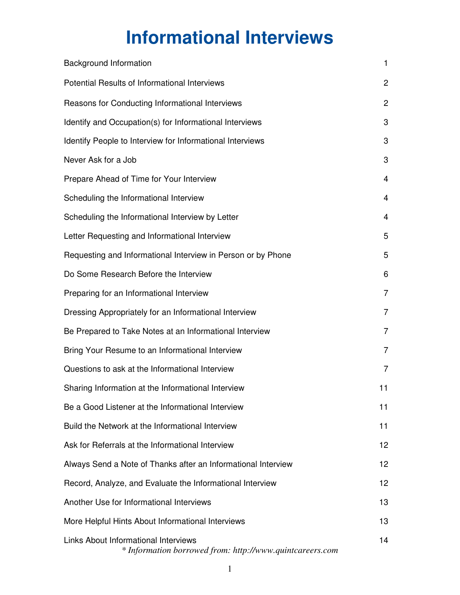# **Informational Interviews**

| Background Information                                                                           | $\mathbf{1}$            |
|--------------------------------------------------------------------------------------------------|-------------------------|
| Potential Results of Informational Interviews                                                    | 2                       |
| Reasons for Conducting Informational Interviews                                                  | $\overline{c}$          |
| Identify and Occupation(s) for Informational Interviews                                          | 3                       |
| Identify People to Interview for Informational Interviews                                        | 3                       |
| Never Ask for a Job                                                                              | 3                       |
| Prepare Ahead of Time for Your Interview                                                         | 4                       |
| Scheduling the Informational Interview                                                           | $\overline{\mathbf{4}}$ |
| Scheduling the Informational Interview by Letter                                                 | 4                       |
| Letter Requesting and Informational Interview                                                    | 5                       |
| Requesting and Informational Interview in Person or by Phone                                     | 5                       |
| Do Some Research Before the Interview                                                            | 6                       |
| Preparing for an Informational Interview                                                         | $\overline{7}$          |
| Dressing Appropriately for an Informational Interview                                            | $\overline{7}$          |
| Be Prepared to Take Notes at an Informational Interview                                          | $\overline{7}$          |
| Bring Your Resume to an Informational Interview                                                  | $\overline{7}$          |
| Questions to ask at the Informational Interview                                                  | $\overline{7}$          |
| Sharing Information at the Informational Interview                                               | 11                      |
| Be a Good Listener at the Informational Interview                                                | 11                      |
| Build the Network at the Informational Interview                                                 | 11                      |
| Ask for Referrals at the Informational Interview                                                 | 12                      |
| Always Send a Note of Thanks after an Informational Interview                                    | 12                      |
| Record, Analyze, and Evaluate the Informational Interview                                        | 12                      |
| Another Use for Informational Interviews                                                         | 13                      |
| More Helpful Hints About Informational Interviews                                                | 13                      |
| Links About Informational Interviews<br>* Information borrowed from: http://www.quintcareers.com | 14                      |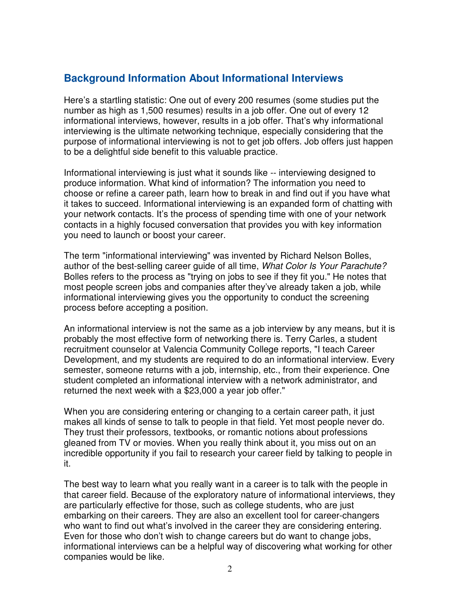#### **Background Information About Informational Interviews**

Here's a startling statistic: One out of every 200 resumes (some studies put the number as high as 1,500 resumes) results in a job offer. One out of every 12 informational interviews, however, results in a job offer. That's why informational interviewing is the ultimate networking technique, especially considering that the purpose of informational interviewing is not to get job offers. Job offers just happen to be a delightful side benefit to this valuable practice.

Informational interviewing is just what it sounds like -- interviewing designed to produce information. What kind of information? The information you need to choose or refine a career path, learn how to break in and find out if you have what it takes to succeed. Informational interviewing is an expanded form of chatting with your network contacts. It's the process of spending time with one of your network contacts in a highly focused conversation that provides you with key information you need to launch or boost your career.

The term "informational interviewing" was invented by Richard Nelson Bolles, author of the best-selling career guide of all time, What Color Is Your Parachute? Bolles refers to the process as "trying on jobs to see if they fit you." He notes that most people screen jobs and companies after they've already taken a job, while informational interviewing gives you the opportunity to conduct the screening process before accepting a position.

An informational interview is not the same as a job interview by any means, but it is probably the most effective form of networking there is. Terry Carles, a student recruitment counselor at Valencia Community College reports, "I teach Career Development, and my students are required to do an informational interview. Every semester, someone returns with a job, internship, etc., from their experience. One student completed an informational interview with a network administrator, and returned the next week with a \$23,000 a year job offer."

When you are considering entering or changing to a certain career path, it just makes all kinds of sense to talk to people in that field. Yet most people never do. They trust their professors, textbooks, or romantic notions about professions gleaned from TV or movies. When you really think about it, you miss out on an incredible opportunity if you fail to research your career field by talking to people in it.

The best way to learn what you really want in a career is to talk with the people in that career field. Because of the exploratory nature of informational interviews, they are particularly effective for those, such as college students, who are just embarking on their careers. They are also an excellent tool for career-changers who want to find out what's involved in the career they are considering entering. Even for those who don't wish to change careers but do want to change jobs, informational interviews can be a helpful way of discovering what working for other companies would be like.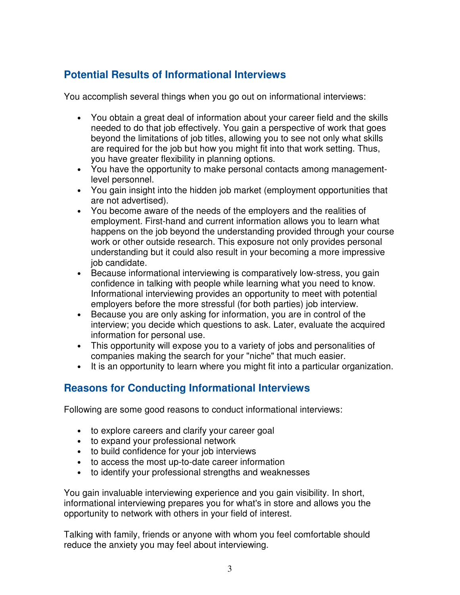## **Potential Results of Informational Interviews**

You accomplish several things when you go out on informational interviews:

- You obtain a great deal of information about your career field and the skills needed to do that job effectively. You gain a perspective of work that goes beyond the limitations of job titles, allowing you to see not only what skills are required for the job but how you might fit into that work setting. Thus, you have greater flexibility in planning options.
- You have the opportunity to make personal contacts among managementlevel personnel.
- You gain insight into the hidden job market (employment opportunities that are not advertised).
- You become aware of the needs of the employers and the realities of employment. First-hand and current information allows you to learn what happens on the job beyond the understanding provided through your course work or other outside research. This exposure not only provides personal understanding but it could also result in your becoming a more impressive job candidate.
- Because informational interviewing is comparatively low-stress, you gain confidence in talking with people while learning what you need to know. Informational interviewing provides an opportunity to meet with potential employers before the more stressful (for both parties) job interview.
- Because you are only asking for information, you are in control of the interview; you decide which questions to ask. Later, evaluate the acquired information for personal use.
- This opportunity will expose you to a variety of jobs and personalities of companies making the search for your "niche" that much easier.
- It is an opportunity to learn where you might fit into a particular organization.

# **Reasons for Conducting Informational Interviews**

Following are some good reasons to conduct informational interviews:

- to explore careers and clarify your career goal
- to expand your professional network
- to build confidence for your job interviews
- to access the most up-to-date career information
- to identify your professional strengths and weaknesses

You gain invaluable interviewing experience and you gain visibility. In short, informational interviewing prepares you for what's in store and allows you the opportunity to network with others in your field of interest.

Talking with family, friends or anyone with whom you feel comfortable should reduce the anxiety you may feel about interviewing.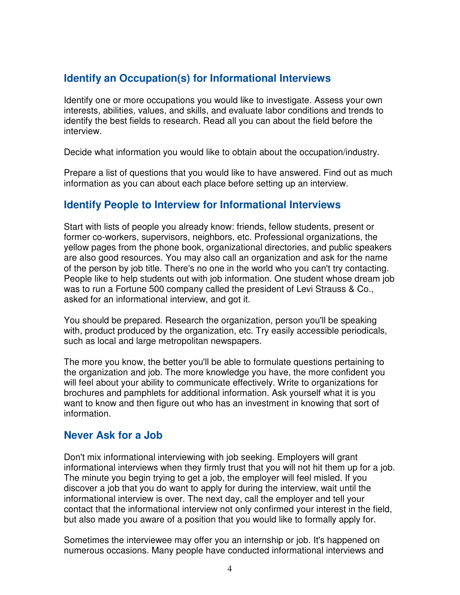#### **Identify an Occupation(s) for Informational Interviews**

Identify one or more occupations you would like to investigate. Assess your own interests, abilities, values, and skills, and evaluate labor conditions and trends to identify the best fields to research. Read all you can about the field before the interview.

Decide what information you would like to obtain about the occupation/industry.

Prepare a list of questions that you would like to have answered. Find out as much information as you can about each place before setting up an interview.

#### **Identify People to Interview for Informational Interviews**

Start with lists of people you already know: friends, fellow students, present or former co-workers, supervisors, neighbors, etc. Professional organizations, the yellow pages from the phone book, organizational directories, and public speakers are also good resources. You may also call an organization and ask for the name of the person by job title. There's no one in the world who you can't try contacting. People like to help students out with job information. One student whose dream job was to run a Fortune 500 company called the president of Levi Strauss & Co., asked for an informational interview, and got it.

You should be prepared. Research the organization, person you'll be speaking with, product produced by the organization, etc. Try easily accessible periodicals, such as local and large metropolitan newspapers.

The more you know, the better you'll be able to formulate questions pertaining to the organization and job. The more knowledge you have, the more confident you will feel about your ability to communicate effectively. Write to organizations for brochures and pamphlets for additional information. Ask yourself what it is you want to know and then figure out who has an investment in knowing that sort of information.

#### **Never Ask for a Job**

Don't mix informational interviewing with job seeking. Employers will grant informational interviews when they firmly trust that you will not hit them up for a job. The minute you begin trying to get a job, the employer will feel misled. If you discover a job that you do want to apply for during the interview, wait until the informational interview is over. The next day, call the employer and tell your contact that the informational interview not only confirmed your interest in the field, but also made you aware of a position that you would like to formally apply for.

Sometimes the interviewee may offer you an internship or job. It's happened on numerous occasions. Many people have conducted informational interviews and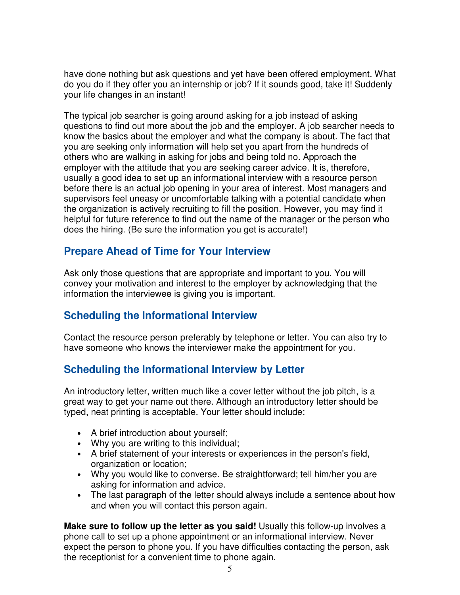have done nothing but ask questions and yet have been offered employment. What do you do if they offer you an internship or job? If it sounds good, take it! Suddenly your life changes in an instant!

The typical job searcher is going around asking for a job instead of asking questions to find out more about the job and the employer. A job searcher needs to know the basics about the employer and what the company is about. The fact that you are seeking only information will help set you apart from the hundreds of others who are walking in asking for jobs and being told no. Approach the employer with the attitude that you are seeking career advice. It is, therefore, usually a good idea to set up an informational interview with a resource person before there is an actual job opening in your area of interest. Most managers and supervisors feel uneasy or uncomfortable talking with a potential candidate when the organization is actively recruiting to fill the position. However, you may find it helpful for future reference to find out the name of the manager or the person who does the hiring. (Be sure the information you get is accurate!)

## **Prepare Ahead of Time for Your Interview**

Ask only those questions that are appropriate and important to you. You will convey your motivation and interest to the employer by acknowledging that the information the interviewee is giving you is important.

# **Scheduling the Informational Interview**

Contact the resource person preferably by telephone or letter. You can also try to have someone who knows the interviewer make the appointment for you.

# **Scheduling the Informational Interview by Letter**

An introductory letter, written much like a cover letter without the job pitch, is a great way to get your name out there. Although an introductory letter should be typed, neat printing is acceptable. Your letter should include:

- A brief introduction about yourself;
- Why you are writing to this individual;
- A brief statement of your interests or experiences in the person's field, organization or location;
- Why you would like to converse. Be straightforward; tell him/her you are asking for information and advice.
- The last paragraph of the letter should always include a sentence about how and when you will contact this person again.

**Make sure to follow up the letter as you said!** Usually this follow-up involves a phone call to set up a phone appointment or an informational interview. Never expect the person to phone you. If you have difficulties contacting the person, ask the receptionist for a convenient time to phone again.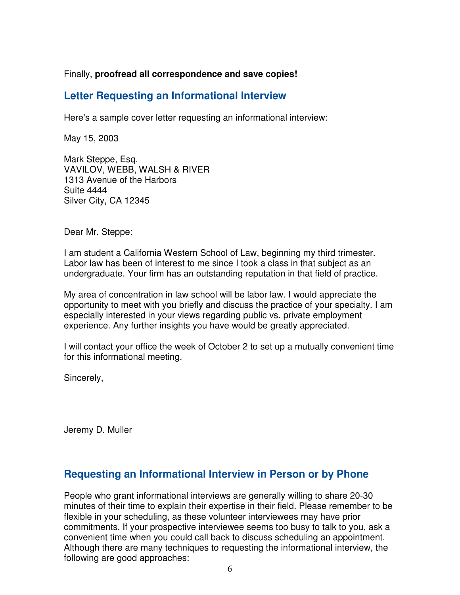Finally, **proofread all correspondence and save copies!**

#### **Letter Requesting an Informational Interview**

Here's a sample cover letter requesting an informational interview:

May 15, 2003

Mark Steppe, Esq. VAVILOV, WEBB, WALSH & RIVER 1313 Avenue of the Harbors Suite 4444 Silver City, CA 12345

Dear Mr. Steppe:

I am student a California Western School of Law, beginning my third trimester. Labor law has been of interest to me since I took a class in that subject as an undergraduate. Your firm has an outstanding reputation in that field of practice.

My area of concentration in law school will be labor law. I would appreciate the opportunity to meet with you briefly and discuss the practice of your specialty. I am especially interested in your views regarding public vs. private employment experience. Any further insights you have would be greatly appreciated.

I will contact your office the week of October 2 to set up a mutually convenient time for this informational meeting.

Sincerely,

Jeremy D. Muller

#### **Requesting an Informational Interview in Person or by Phone**

People who grant informational interviews are generally willing to share 20-30 minutes of their time to explain their expertise in their field. Please remember to be flexible in your scheduling, as these volunteer interviewees may have prior commitments. If your prospective interviewee seems too busy to talk to you, ask a convenient time when you could call back to discuss scheduling an appointment. Although there are many techniques to requesting the informational interview, the following are good approaches: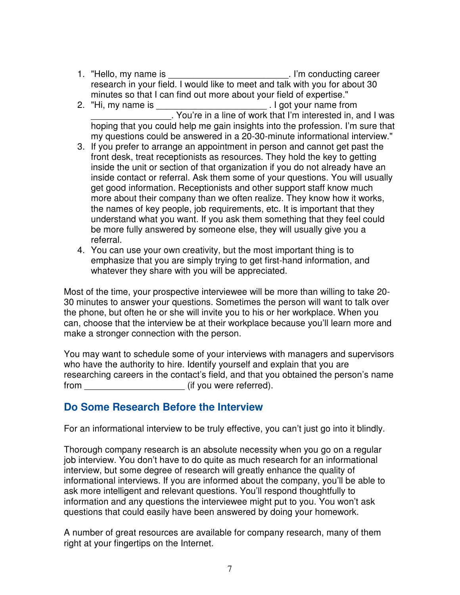- 1. "Hello, my name is \_\_\_\_\_\_\_\_\_\_\_\_\_\_\_\_\_\_\_\_\_\_\_\_\_\_\_\_. I'm conducting career research in your field. I would like to meet and talk with you for about 30 minutes so that I can find out more about your field of expertise."<br>2. "Hi, my name is
- 2. "Hi, my name is \_\_\_\_\_\_\_\_\_\_\_\_\_\_\_\_\_\_\_\_\_\_\_\_\_\_. I got your name from \_\_\_\_\_\_\_\_\_\_\_\_\_\_\_\_. You're in a line of work that I'm interested in, and I was hoping that you could help me gain insights into the profession. I'm sure that my questions could be answered in a 20-30-minute informational interview."
- 3. If you prefer to arrange an appointment in person and cannot get past the front desk, treat receptionists as resources. They hold the key to getting inside the unit or section of that organization if you do not already have an inside contact or referral. Ask them some of your questions. You will usually get good information. Receptionists and other support staff know much more about their company than we often realize. They know how it works, the names of key people, job requirements, etc. It is important that they understand what you want. If you ask them something that they feel could be more fully answered by someone else, they will usually give you a referral.
- 4. You can use your own creativity, but the most important thing is to emphasize that you are simply trying to get first-hand information, and whatever they share with you will be appreciated.

Most of the time, your prospective interviewee will be more than willing to take 20- 30 minutes to answer your questions. Sometimes the person will want to talk over the phone, but often he or she will invite you to his or her workplace. When you can, choose that the interview be at their workplace because you'll learn more and make a stronger connection with the person.

You may want to schedule some of your interviews with managers and supervisors who have the authority to hire. Identify yourself and explain that you are researching careers in the contact's field, and that you obtained the person's name from  $(i f y o u)$  were referred).

#### **Do Some Research Before the Interview**

For an informational interview to be truly effective, you can't just go into it blindly.

Thorough company research is an absolute necessity when you go on a regular job interview. You don't have to do quite as much research for an informational interview, but some degree of research will greatly enhance the quality of informational interviews. If you are informed about the company, you'll be able to ask more intelligent and relevant questions. You'll respond thoughtfully to information and any questions the interviewee might put to you. You won't ask questions that could easily have been answered by doing your homework.

A number of great resources are available for company research, many of them right at your fingertips on the Internet.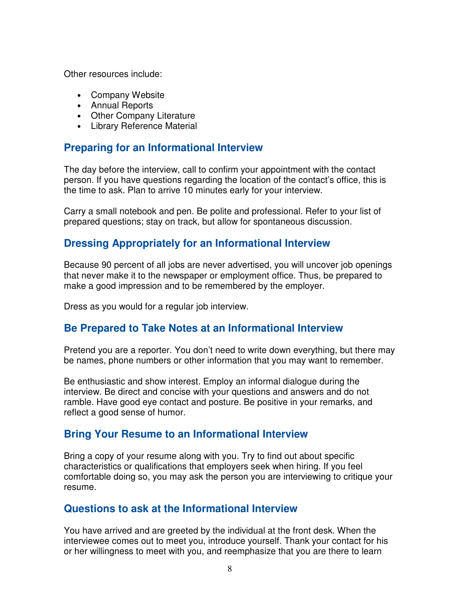Other resources include:

- Company Website
- Annual Reports
- Other Company Literature
- Library Reference Material

#### **Preparing for an Informational Interview**

The day before the interview, call to confirm your appointment with the contact person. If you have questions regarding the location of the contact's office, this is the time to ask. Plan to arrive 10 minutes early for your interview.

Carry a small notebook and pen. Be polite and professional. Refer to your list of prepared questions; stay on track, but allow for spontaneous discussion.

#### **Dressing Appropriately for an Informational Interview**

Because 90 percent of all jobs are never advertised, you will uncover job openings that never make it to the newspaper or employment office. Thus, be prepared to make a good impression and to be remembered by the employer.

Dress as you would for a regular job interview.

#### **Be Prepared to Take Notes at an Informational Interview**

Pretend you are a reporter. You don't need to write down everything, but there may be names, phone numbers or other information that you may want to remember.

Be enthusiastic and show interest. Employ an informal dialogue during the interview. Be direct and concise with your questions and answers and do not ramble. Have good eye contact and posture. Be positive in your remarks, and reflect a good sense of humor.

#### **Bring Your Resume to an Informational Interview**

Bring a copy of your resume along with you. Try to find out about specific characteristics or qualifications that employers seek when hiring. If you feel comfortable doing so, you may ask the person you are interviewing to critique your resume.

#### **Questions to ask at the Informational Interview**

You have arrived and are greeted by the individual at the front desk. When the interviewee comes out to meet you, introduce yourself. Thank your contact for his or her willingness to meet with you, and reemphasize that you are there to learn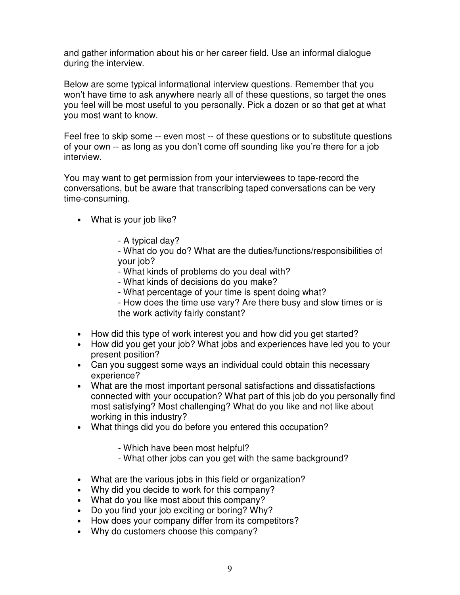and gather information about his or her career field. Use an informal dialogue during the interview.

Below are some typical informational interview questions. Remember that you won't have time to ask anywhere nearly all of these questions, so target the ones you feel will be most useful to you personally. Pick a dozen or so that get at what you most want to know.

Feel free to skip some -- even most -- of these questions or to substitute questions of your own -- as long as you don't come off sounding like you're there for a job interview.

You may want to get permission from your interviewees to tape-record the conversations, but be aware that transcribing taped conversations can be very time-consuming.

- What is your job like?
	- A typical day?

- What do you do? What are the duties/functions/responsibilities of your job?

- What kinds of problems do you deal with?
- What kinds of decisions do you make?
- What percentage of your time is spent doing what?

- How does the time use vary? Are there busy and slow times or is the work activity fairly constant?

- How did this type of work interest you and how did you get started?
- How did you get your job? What jobs and experiences have led you to your present position?
- Can you suggest some ways an individual could obtain this necessary experience?
- What are the most important personal satisfactions and dissatisfactions connected with your occupation? What part of this job do you personally find most satisfying? Most challenging? What do you like and not like about working in this industry?
- What things did you do before you entered this occupation?
	- Which have been most helpful?
	- What other jobs can you get with the same background?
- What are the various jobs in this field or organization?
- Why did you decide to work for this company?
- What do you like most about this company?
- Do you find your job exciting or boring? Why?
- How does your company differ from its competitors?
- Why do customers choose this company?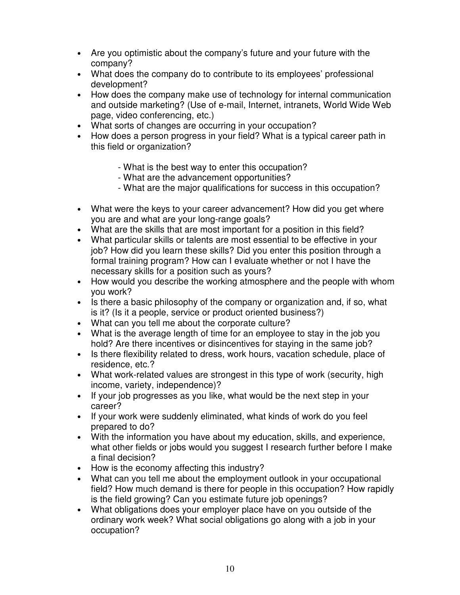- Are you optimistic about the company's future and your future with the company?
- What does the company do to contribute to its employees' professional development?
- How does the company make use of technology for internal communication and outside marketing? (Use of e-mail, Internet, intranets, World Wide Web page, video conferencing, etc.)
- What sorts of changes are occurring in your occupation?
- How does a person progress in your field? What is a typical career path in this field or organization?
	- What is the best way to enter this occupation?
	- What are the advancement opportunities?
	- What are the major qualifications for success in this occupation?
- What were the keys to your career advancement? How did you get where you are and what are your long-range goals?
- What are the skills that are most important for a position in this field?
- What particular skills or talents are most essential to be effective in your job? How did you learn these skills? Did you enter this position through a formal training program? How can I evaluate whether or not I have the necessary skills for a position such as yours?
- How would you describe the working atmosphere and the people with whom you work?
- Is there a basic philosophy of the company or organization and, if so, what is it? (Is it a people, service or product oriented business?)
- What can you tell me about the corporate culture?
- What is the average length of time for an employee to stay in the job you hold? Are there incentives or disincentives for staying in the same job?
- Is there flexibility related to dress, work hours, vacation schedule, place of residence, etc.?
- What work-related values are strongest in this type of work (security, high income, variety, independence)?
- If your job progresses as you like, what would be the next step in your career?
- If your work were suddenly eliminated, what kinds of work do you feel prepared to do?
- With the information you have about my education, skills, and experience, what other fields or jobs would you suggest I research further before I make a final decision?
- How is the economy affecting this industry?
- What can you tell me about the employment outlook in your occupational field? How much demand is there for people in this occupation? How rapidly is the field growing? Can you estimate future job openings?
- What obligations does your employer place have on you outside of the ordinary work week? What social obligations go along with a job in your occupation?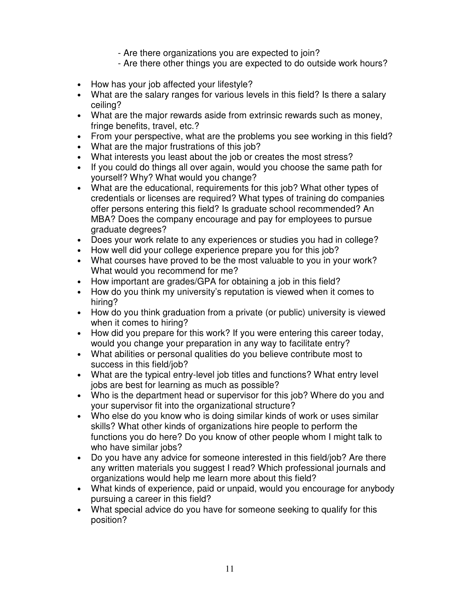- Are there organizations you are expected to join?
- Are there other things you are expected to do outside work hours?
- How has your job affected your lifestyle?
- What are the salary ranges for various levels in this field? Is there a salary ceiling?
- What are the major rewards aside from extrinsic rewards such as money, fringe benefits, travel, etc.?
- From your perspective, what are the problems you see working in this field?
- What are the major frustrations of this job?
- What interests you least about the job or creates the most stress?
- If you could do things all over again, would you choose the same path for yourself? Why? What would you change?
- What are the educational, requirements for this job? What other types of credentials or licenses are required? What types of training do companies offer persons entering this field? Is graduate school recommended? An MBA? Does the company encourage and pay for employees to pursue graduate degrees?
- Does your work relate to any experiences or studies you had in college?
- How well did your college experience prepare you for this job?
- What courses have proved to be the most valuable to you in your work? What would you recommend for me?
- How important are grades/GPA for obtaining a job in this field?
- How do you think my university's reputation is viewed when it comes to hiring?
- How do you think graduation from a private (or public) university is viewed when it comes to hiring?
- How did you prepare for this work? If you were entering this career today, would you change your preparation in any way to facilitate entry?
- What abilities or personal qualities do you believe contribute most to success in this field/job?
- What are the typical entry-level job titles and functions? What entry level jobs are best for learning as much as possible?
- Who is the department head or supervisor for this job? Where do you and your supervisor fit into the organizational structure?
- Who else do you know who is doing similar kinds of work or uses similar skills? What other kinds of organizations hire people to perform the functions you do here? Do you know of other people whom I might talk to who have similar jobs?
- Do you have any advice for someone interested in this field/job? Are there any written materials you suggest I read? Which professional journals and organizations would help me learn more about this field?
- What kinds of experience, paid or unpaid, would you encourage for anybody pursuing a career in this field?
- What special advice do you have for someone seeking to qualify for this position?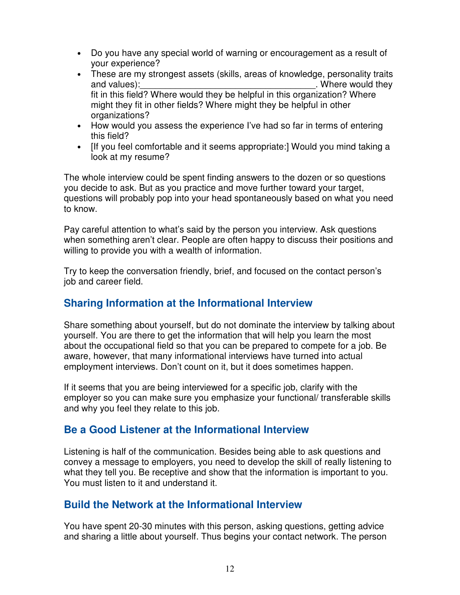- Do you have any special world of warning or encouragement as a result of your experience?
- These are my strongest assets (skills, areas of knowledge, personality traits and values):  $\blacksquare$  and values): fit in this field? Where would they be helpful in this organization? Where might they fit in other fields? Where might they be helpful in other organizations?
- How would you assess the experience I've had so far in terms of entering this field?
- [If you feel comfortable and it seems appropriate:] Would you mind taking a look at my resume?

The whole interview could be spent finding answers to the dozen or so questions you decide to ask. But as you practice and move further toward your target, questions will probably pop into your head spontaneously based on what you need to know.

Pay careful attention to what's said by the person you interview. Ask questions when something aren't clear. People are often happy to discuss their positions and willing to provide you with a wealth of information.

Try to keep the conversation friendly, brief, and focused on the contact person's job and career field.

#### **Sharing Information at the Informational Interview**

Share something about yourself, but do not dominate the interview by talking about yourself. You are there to get the information that will help you learn the most about the occupational field so that you can be prepared to compete for a job. Be aware, however, that many informational interviews have turned into actual employment interviews. Don't count on it, but it does sometimes happen.

If it seems that you are being interviewed for a specific job, clarify with the employer so you can make sure you emphasize your functional/ transferable skills and why you feel they relate to this job.

#### **Be a Good Listener at the Informational Interview**

Listening is half of the communication. Besides being able to ask questions and convey a message to employers, you need to develop the skill of really listening to what they tell you. Be receptive and show that the information is important to you. You must listen to it and understand it.

#### **Build the Network at the Informational Interview**

You have spent 20-30 minutes with this person, asking questions, getting advice and sharing a little about yourself. Thus begins your contact network. The person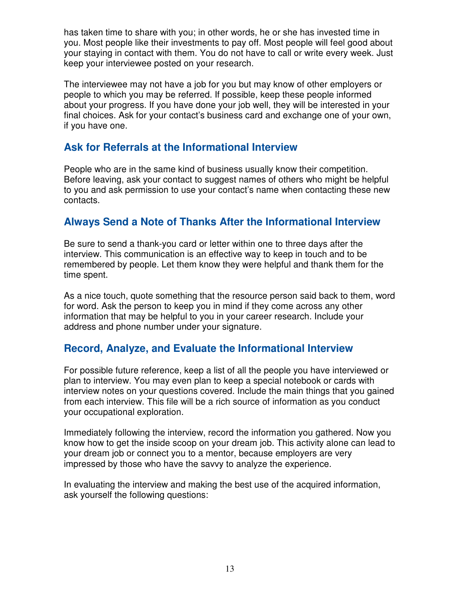has taken time to share with you; in other words, he or she has invested time in you. Most people like their investments to pay off. Most people will feel good about your staying in contact with them. You do not have to call or write every week. Just keep your interviewee posted on your research.

The interviewee may not have a job for you but may know of other employers or people to which you may be referred. If possible, keep these people informed about your progress. If you have done your job well, they will be interested in your final choices. Ask for your contact's business card and exchange one of your own, if you have one.

#### **Ask for Referrals at the Informational Interview**

People who are in the same kind of business usually know their competition. Before leaving, ask your contact to suggest names of others who might be helpful to you and ask permission to use your contact's name when contacting these new contacts.

#### **Always Send a Note of Thanks After the Informational Interview**

Be sure to send a thank-you card or letter within one to three days after the interview. This communication is an effective way to keep in touch and to be remembered by people. Let them know they were helpful and thank them for the time spent.

As a nice touch, quote something that the resource person said back to them, word for word. Ask the person to keep you in mind if they come across any other information that may be helpful to you in your career research. Include your address and phone number under your signature.

#### **Record, Analyze, and Evaluate the Informational Interview**

For possible future reference, keep a list of all the people you have interviewed or plan to interview. You may even plan to keep a special notebook or cards with interview notes on your questions covered. Include the main things that you gained from each interview. This file will be a rich source of information as you conduct your occupational exploration.

Immediately following the interview, record the information you gathered. Now you know how to get the inside scoop on your dream job. This activity alone can lead to your dream job or connect you to a mentor, because employers are very impressed by those who have the savvy to analyze the experience.

In evaluating the interview and making the best use of the acquired information, ask yourself the following questions: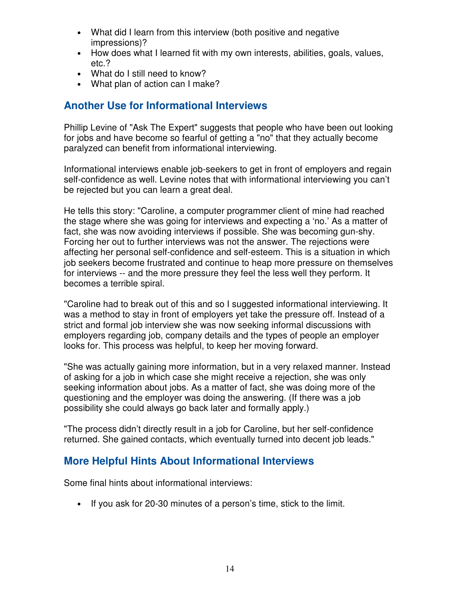- What did I learn from this interview (both positive and negative impressions)?
- How does what I learned fit with my own interests, abilities, goals, values, etc.?
- What do I still need to know?
- What plan of action can I make?

#### **Another Use for Informational Interviews**

Phillip Levine of "Ask The Expert" suggests that people who have been out looking for jobs and have become so fearful of getting a "no" that they actually become paralyzed can benefit from informational interviewing.

Informational interviews enable job-seekers to get in front of employers and regain self-confidence as well. Levine notes that with informational interviewing you can't be rejected but you can learn a great deal.

He tells this story: "Caroline, a computer programmer client of mine had reached the stage where she was going for interviews and expecting a 'no.' As a matter of fact, she was now avoiding interviews if possible. She was becoming gun-shy. Forcing her out to further interviews was not the answer. The rejections were affecting her personal self-confidence and self-esteem. This is a situation in which job seekers become frustrated and continue to heap more pressure on themselves for interviews -- and the more pressure they feel the less well they perform. It becomes a terrible spiral.

"Caroline had to break out of this and so I suggested informational interviewing. It was a method to stay in front of employers yet take the pressure off. Instead of a strict and formal job interview she was now seeking informal discussions with employers regarding job, company details and the types of people an employer looks for. This process was helpful, to keep her moving forward.

"She was actually gaining more information, but in a very relaxed manner. Instead of asking for a job in which case she might receive a rejection, she was only seeking information about jobs. As a matter of fact, she was doing more of the questioning and the employer was doing the answering. (If there was a job possibility she could always go back later and formally apply.)

"The process didn't directly result in a job for Caroline, but her self-confidence returned. She gained contacts, which eventually turned into decent job leads."

#### **More Helpful Hints About Informational Interviews**

Some final hints about informational interviews:

• If you ask for 20-30 minutes of a person's time, stick to the limit.